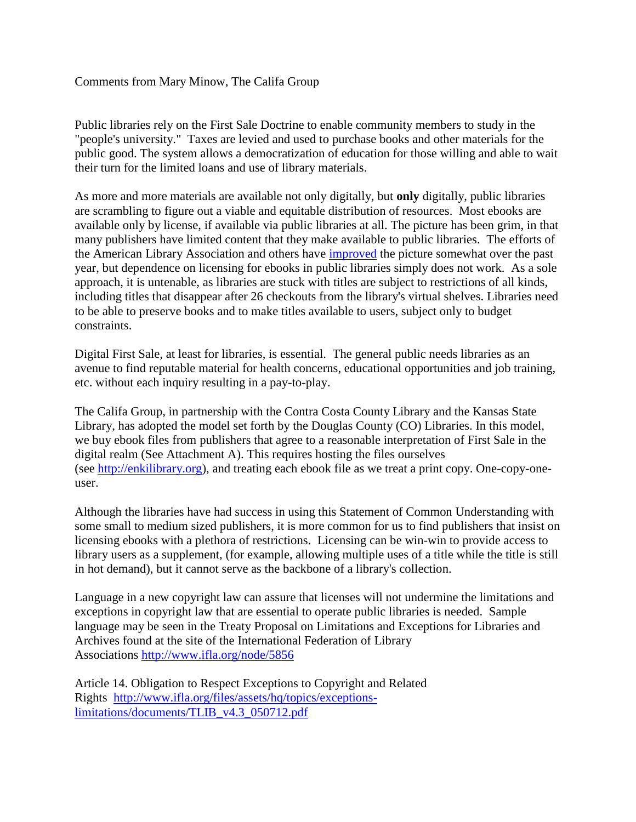## Comments from Mary Minow, The Califa Group

Public libraries rely on the First Sale Doctrine to enable community members to study in the "people's university." Taxes are levied and used to purchase books and other materials for the public good. The system allows a democratization of education for those willing and able to wait their turn for the limited loans and use of library materials.

As more and more materials are available not only digitally, but **only** digitally, public libraries are scrambling to figure out a viable and equitable distribution of resources. Most ebooks are available only by license, if available via public libraries at all. The picture has been grim, in that many publishers have limited content that they make available to public libraries. The efforts of the American Library Association and others have [improved](http://www.publishersweekly.com/pw/by-topic/industry-news/libraries/article/59942-check-it-out-with-michael-kelley.html) the picture somewhat over the past year, but dependence on licensing for ebooks in public libraries simply does not work. As a sole approach, it is untenable, as libraries are stuck with titles are subject to restrictions of all kinds, including titles that disappear after 26 checkouts from the library's virtual shelves. Libraries need to be able to preserve books and to make titles available to users, subject only to budget constraints.

Digital First Sale, at least for libraries, is essential. The general public needs libraries as an avenue to find reputable material for health concerns, educational opportunities and job training, etc. without each inquiry resulting in a pay-to-play.

The Califa Group, in partnership with the Contra Costa County Library and the Kansas State Library, has adopted the model set forth by the Douglas County (CO) Libraries. In this model, we buy ebook files from publishers that agree to a reasonable interpretation of First Sale in the digital realm (See Attachment A). This requires hosting the files ourselves (see [http://enkilibrary.org\)](http://enkilibrary.org/), and treating each ebook file as we treat a print copy. One-copy-oneuser.

Although the libraries have had success in using this Statement of Common Understanding with some small to medium sized publishers, it is more common for us to find publishers that insist on licensing ebooks with a plethora of restrictions. Licensing can be win-win to provide access to library users as a supplement, (for example, allowing multiple uses of a title while the title is still in hot demand), but it cannot serve as the backbone of a library's collection.

Language in a new copyright law can assure that licenses will not undermine the limitations and exceptions in copyright law that are essential to operate public libraries is needed. Sample language may be seen in the Treaty Proposal on Limitations and Exceptions for Libraries and Archives found at the site of the International Federation of Library Associations <http://www.ifla.org/node/5856>

Article 14. Obligation to Respect Exceptions to Copyright and Related Rights [http://www.ifla.org/files/assets/hq/topics/exceptions](http://www.ifla.org/files/assets/hq/topics/exceptions-limitations/documents/TLIB_v4.3_050712.pdf)[limitations/documents/TLIB\\_v4.3\\_050712.pdf](http://www.ifla.org/files/assets/hq/topics/exceptions-limitations/documents/TLIB_v4.3_050712.pdf)